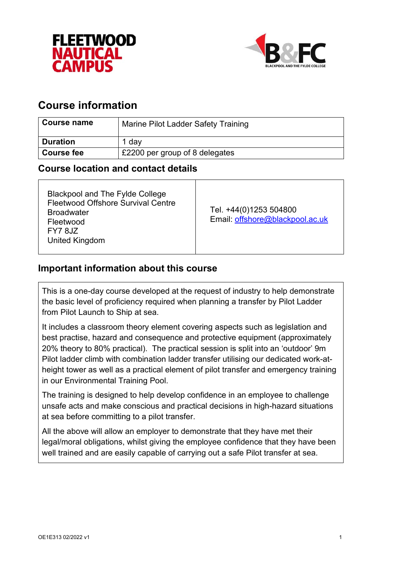



# **Course information**

| Course name       | Marine Pilot Ladder Safety Training |
|-------------------|-------------------------------------|
| <b>Duration</b>   | 1 dav                               |
| <b>Course fee</b> | £2200 per group of 8 delegates      |

## **Course location and contact details**

# **Important information about this course**

This is a one-day course developed at the request of industry to help demonstrate the basic level of proficiency required when planning a transfer by Pilot Ladder from Pilot Launch to Ship at sea.

It includes a classroom theory element covering aspects such as legislation and best practise, hazard and consequence and protective equipment (approximately 20% theory to 80% practical). The practical session is split into an 'outdoor' 9m Pilot ladder climb with combination ladder transfer utilising our dedicated work-atheight tower as well as a practical element of pilot transfer and emergency training in our Environmental Training Pool.

The training is designed to help develop confidence in an employee to challenge unsafe acts and make conscious and practical decisions in high-hazard situations at sea before committing to a pilot transfer.

All the above will allow an employer to demonstrate that they have met their legal/moral obligations, whilst giving the employee confidence that they have been well trained and are easily capable of carrying out a safe Pilot transfer at sea.